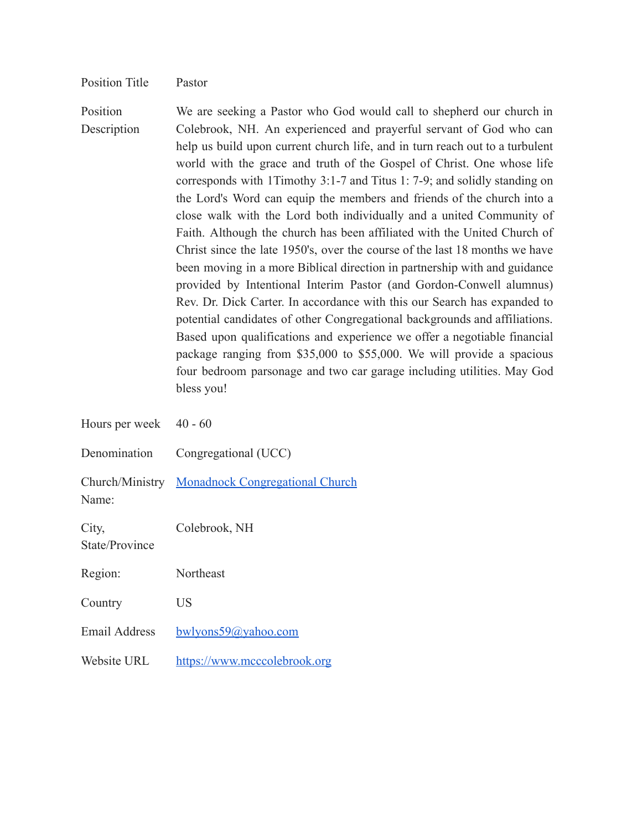## Position Title Pastor

Position **Description** We are seeking a Pastor who God would call to shepherd our church in Colebrook, NH. An experienced and prayerful servant of God who can help us build upon current church life, and in turn reach out to a turbulent world with the grace and truth of the Gospel of Christ. One whose life corresponds with 1Timothy 3:1-7 and Titus 1: 7-9; and solidly standing on the Lord's Word can equip the members and friends of the church into a close walk with the Lord both individually and a united Community of Faith. Although the church has been affiliated with the United Church of Christ since the late 1950's, over the course of the last 18 months we have been moving in a more Biblical direction in partnership with and guidance provided by Intentional Interim Pastor (and Gordon-Conwell alumnus) Rev. Dr. Dick Carter. In accordance with this our Search has expanded to potential candidates of other Congregational backgrounds and affiliations. Based upon qualifications and experience we offer a negotiable financial package ranging from \$35,000 to \$55,000. We will provide a spacious four bedroom parsonage and two car garage including utilities. May God bless you!

| Hours per week 40 - 60  |                                                 |
|-------------------------|-------------------------------------------------|
| Denomination            | Congregational (UCC)                            |
| Name:                   | Church/Ministry Monadnock Congregational Church |
| City,<br>State/Province | Colebrook, NH                                   |
| Region:                 | Northeast                                       |
| Country                 | US                                              |
| <b>Email Address</b>    | bwlyons59@yahoo.com                             |
| Website URL             | https://www.mcccolebrook.org                    |